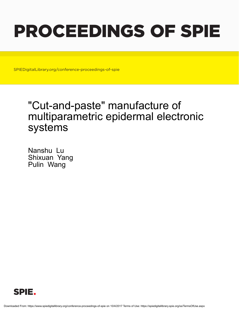# PROCEEDINGS OF SPIE

SPIEDigitalLibrary.org/conference-proceedings-of-spie

## "Cut-and-paste" manufacture of multiparametric epidermal electronic systems

Nanshu Lu Shixuan Yang Pulin Wang

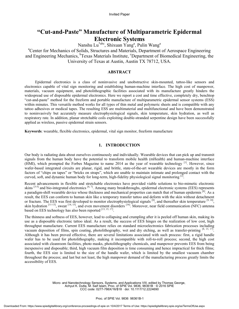### **"Cut-and-Paste" Manufacture of Multiparametric Epidermal Electronic Systems**

Nanshu Lu<sup>\*abc</sup>, Shixuan Yang<sup>a</sup>, Pulin Wang<sup>a</sup>

<sup>a</sup>Center for Mechanics of Solids, Structures and Materials, Department of Aerospace Engineering and Engineering Mechanics, <sup>b</sup>Texas Materials Institute, <sup>c</sup>Department of Biomedical Engineering, the University of Texas at Austin, Austin TX 78712, USA.

#### **ABSTRACT**

Epidermal electronics is a class of noninvasive and unobstructive skin-mounted, tattoo-like sensors and electronics capable of vital sign monitoring and establishing human-machine interface. The high cost of manpower, materials, vacuum equipment, and photolithographic facilities associated with its manufacture greatly hinders the widespread use of disposable epidermal electronics. Here we report a cost and time effective, completely dry, benchtop "cut-and-paste" method for the freeform and portable manufacture of multiparametric epidermal sensor systems (ESS) within minutes. This versatile method works for all types of thin metal and polymeric sheets and is compatible with any tattoo adhesives or medical tapes. The resulting ESS are multimaterial and multifunctional and have been demonstrated to noninvasively but accurately measure electrophysiological signals, skin temperature, skin hydration, as well as respiratory rate. In addition, planar stretchable coils exploiting double-stranded serpentine design have been successfully applied as wireless, passive epidermal strain sensors.

**Keywords**: wearable, flexible electronics, epidermal, vital sign monitor, freeform manufacture

#### **1. INTRODUCTION**

Our body is radiating data about ourselves continuously and individually. Wearable devices that can pick up and transmit signals from the human body have the potential to transform mobile health (mHealth) and human-machine interface (HMI), which prompted the Forbes Magazine to name 2014 as the year of wearable technology  $\left[1\right]$ . However, since wafer-based integrated circuits are planar, rigid, and brittle, state-of-the-art wearable devices are mostly in the form factors of "chips on tapes" or "bricks on straps", which are unable to maintain intimate and prolonged contact with the curved, soft, and dynamic human body for long-term, high-fidelity physiological signal monitoring <sup>[2]</sup>.

Recent advancements in flexible and stretchable electronics have provided viable solutions to bio-mimetic electronic skins  $[3-5]$  and bio-integrated electronics  $[6, 7]$ . Among many breakthroughs, epidermal electronic systems (EES) represents a paradigm-shift wearable device whose thickness and mechanical properties can match that of human epidermis  $^{[8]}$ . As a result, the EES can conform to human skin like a temporary transfer tattoo and deform with the skin without detachment or fracture. The EES was first developed to monitor electrophysiological signals  $[8]$ , and thereafter skin temperature  $[9, 10]$ , skin hydration  $\left[11-13\right]$ , sweat  $\left[14, 15\right]$ , and even movement disorders  $\left[16\right]$ . Moreover, near field communication (NFC) antenna based on EES technology has also been reported [13, 15, 17].

The thinness and softness of EES, however, lead to collapsing and crumpling after it is peeled off human skin, making its use as a disposable electronic tattoo ideal. As a result, the success of EES hinges on the realization of low cost, high throughput manufacture. Current EES manufacture relies on standard microelectronics fabrication processes including vacuum deposition of films, spin coating, photolithography, wet and dry etching, as well as transfer-printing  $[8, 13, 17]$ . Although it has been proved effective, there are several limitations associated with such process: first, a rigid handle wafer has to be used for photolithography, making it incompatible with roll-to-roll process; second, the high cost associated with cleanroom facilities, photo masks, photolithography chemicals, and manpower prevents EES from being inexpensive and disposable; third, high vacuum film deposition is time consuming and hence impractical for thick films; fourth, the EES size is limited to the size of the handle wafer, which is limited by the smallest vacuum chamber throughout the process; and last but not least, the high manpower demand of the manufacturing process greatly limits the accessibility of EES.

> Micro- and Nanotechnology Sensors, Systems, and Applications VIII, edited by Thomas George, Achyut K. Dutta, M. Saif Islam, Proc. of SPIE Vol. 9836, 98361B · © 2016 SPIE CCC code: 0277-786X/16/\$18 · doi: 10.1117/12.2224690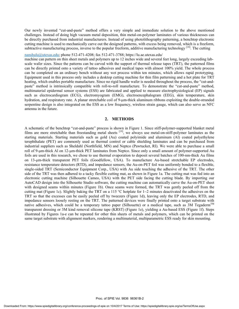Our newly invented "cut-and-paste" method offers a very simple and immediate solution to the above mentioned challenges. Instead of doing high vacuum metal deposition, thin metal-on-polymer laminates of various thicknesses can be directly purchased from industrial manufacturers. Instead of using photolithography patterning, a benchtop electronic cutting machine is used to mechanically carve out the designed patterns, with excess being removed, which is a freeform, subtractive manufacturing process, inverse to the popular freeform, additive manufacturing technology <sup>[18]</sup>. The cutting

#### nanshulu@utexas.edu; phone 512-471-4208; fax 512-471-3788; https://lu.ae.utexas.edu/

machine can pattern on thin sheet metals and polymers up to 12 inches wide and several feet long, largely exceeding labscale wafer sizes. Since the patterns can be carved with the support of thermal release tapes (TRT), the patterned films can be directly printed onto a variety of tattoo adhesives and medical tapes with almost 100% yield. The whole process can be completed on an ordinary bench without any wet process within ten minutes, which allows rapid prototyping. Equipment used in this process only includes a desktop cutting machine for thin film patterning and a hot plate for TRT heating, which enables portable manufacture. Since no rigid handle wafer is needed throughout the process, the "cut-andpaste" method is intrinsically compatible with roll-to-roll manufacture. To demonstrate the "cut-and-paste" method, multimaterial epidermal sensor systems (ESS) are fabricated and applied to measure electrophysiological (EP) signals such as electrocardiogram (ECG), electromyogram (EMG), electroencephalogram (EEG), skin temperature, skin hydration, and respiratory rate. A planar stretchable coil of 9-μm-thick aluminum ribbons exploiting the double-stranded serpentine design is also integrated on the ESS as a low frequency, wireless strain gauge, which can also serve as NFC antenna in the future.

#### **2. METHODS**

A schematic of the benchtop "cut-and-paste" process is shown in Figure 1. Since stiff-polymer-supported blanket metal films are more stretchable than freestanding metal sheets <sup>[19]</sup>, we always use metal-on-stiff-polymer laminates as the starting materials. Starting materials such as gold (Au) coated polyimide and aluminum (Al) coated polyethylene terephthalate (PET) are commonly used as thermal control or cable shielding laminates and can be purchased from industrial suppliers such as Sheldahl (Northfield, MN) and Neptco (Pawtucket, RI). We were able to purchase a small roll of 9-μm-thick Al on 12-μm-thick PET laminates from Neptco. Since only a small amount of polymer-supported Au foils are used in this research, we chose to use thermal evaporation to deposit several batches of 100-nm-thick Au films on 13-μm-thick transparent PET foils (Goodfellow, USA). To manufacture Au-based stretchable EP electrodes, resistance temperature detectors (RTD), and impedance sensors, the Au-on-PET foil was uniformly bonded to a flexible, single-sided TRT (Semiconductor Equipment Corp., USA) with Au side touching the adhesive of the TRT. The other side of the TRT was then adhered to a tacky flexible cutting mat, as shown in Figure 1a. The cutting mat was fed into an electronic cutting machine (Silhouette Cameo, USA) with the PET side facing the cutting blade. By importing our AutoCAD design into the Silhouette Studio software, the cutting machine can automatically carve the Au-on-PET sheet with designed seams within minutes (Figure 1b). Once seams were formed, the TRT was gently peeled off from the cutting mat (Figure 1c). Slightly baking the TRT on a 115 °C hotplate for  $1\sim 2$  minutes deactivated the adhesives on the TRT so that the excesses can be easily peeled off by tweezers (Figure 1d), leaving only the EP electrodes, RTD, and impedance sensors loosely resting on the TRT. The patterned devices were finally printed onto a target substrate with native adhesives, which could be a temporary tattoo paper (Silhouette) or a medical tape, such as 3M Tegaderm<sup>1M</sup> transparent dressing or 3M kind removal silicone tape (KRST) (Figure 1e), yielding a Au-based ESS (Figure 1f). Steps illustrated by Figures 1a-e can be repeated for other thin sheets of metals and polymers, which can be printed on the same target substrate with alignment markers, rendering a multimaterial, multiparametric ESS ready for skin mounting.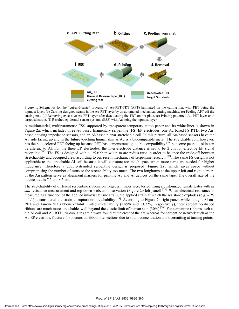

Figure 1. Schematics for the "cut-and-paste" process. (a) Au-PET-TRT (APT) laminated on the cutting mat with PET being the topmost layer. (b) Carving designed seams in the Au-PET layer by an automated mechanical cutting machine. (c) Peeling APT off the cutting mat. (d) Removing excessive Au-PET layer after deactivating the TRT on hot plate. (e) Printing patterned Au-PET layer onto target substrate. (f) Resulted epidermal sensor systems (ESS) with Au being the topmost layer.

A multimaterial, multiparametric ESS supported by transparent temporary tattoo paper and its white liner is shown in Figure 2a, which includes three Au-based filamentary serpentine (FS) EP electrodes, one Au-based FS RTD, two Aubased dot-ring impedance sensors, and an Al-based planar stretchable coil. In this picture, all Au-based sensors have the Au side facing up and in the future touching human skin as Au is a biocompatible metal. The stretchable coil, however, has the blue colored PET facing up because PET has demonstrated good biocompatibility <sup>[20]</sup> but some people's skin can be allergic to Al. For the three EP electrodes, the inter-electrode distance is set to be 2 cm for effective EP signal recording <sup>[21]</sup>. The FS is designed with a 1/5 ribbon width to arc radius ratio in order to balance the trade-off between stretchability and occupied area, according to our recent mechanics of serpentine research [22]. The same FS design is not applicable to the stretchable Al coil because it will consume too much space when more turns are needed for higher inductance. Therefore a double-stranded serpentine design is proposed (Figure 2a), which saves space without compromising the number of turns or the stretchability too much. The two longhorns at the upper left and right corners of the Au pattern serve as alignment markers for printing Au and Al devices on the same tape. The overall size of the device area is  $7.5 \text{ cm} \times 5 \text{ cm}$ .

The stretchability of different serpentine ribbons on Tegaderm tapes were tested using a customized tensile tester with *in situ* resistance measurement and top down webcam observation (Figure 2b left panel) <sup>[23]</sup>. When electrical resistance is measured as a function of the applied uniaxial tensile strain, the applied strain at which the resistance explodes (e.g. *R*/*R*<sup>0</sup>  $= 1.1$ ) is considered the strain-to-rupture or stretchability <sup>[19]</sup>. According to Figure 2b right panel, while straight Al-on-PET and Au-on-PET ribbons exhibit limited stretchability (2.89% and 13.72%, respectively), their serpentine-shaped ribbons are much more stretchable, well beyond the elastic limit of human skin  $(30\%)$ <sup>[24]</sup>. For serpentine ribbons such as the Al coil and Au RTD, rupture sites are always found at the crest of the arc whereas for serpentine network such as the Au EP electrode, fracture first occurs at ribbon intersections due to strain concentration and overcutting at turning points.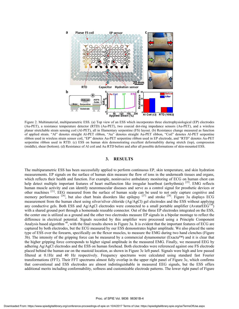

Figure 2. Multimaterial, multiparametric ESS. (a) Top view of an ESS which incorporates three electrophysiological (EP) electrodes (Au-PET), a resistance temperature detector (RTD) (Au-PET), two coaxial dot-ring impedance sensors (Au-PET), and a wireless planar stretchable strain sensing coil (Al-PET), all in filamentary serpentine (FS) layout. (b) Resistance change measured as function of applied strain. "Al" denotes straight Al-PET ribbon, "Au" denotes straight Au-PET ribbon, "Coil" denotes Al-PET serpentine ribbon used in wireless strain sensor coil, "EP" denotes Au-PET serpentine ribbon used in EP electrode, and "RTD" denotes Au-PET serpentine ribbon used in RTD. (c) ESS on human skin demonstrating excellent deformability during stretch (top), compression (middle), shear (bottom). (d) Resistance of Al coil and Au RTD before and after all possible deformations of skin-mounted ESS.

#### **3. RESULTS**

The multiparametric ESS has been successfully applied to perform continuous EP, skin temperature, and skin hydration measurements. EP signals on the surface of human skin measure the flow of ions in the underneath tissues and organs, which reflects their health and function. For example, noninvasive ambulatory monitoring of ECG on human chest can help detect multiple important features of heart malfunction like irregular heartbeat (arrhythmia)  $^{[25]}$ . EMG reflects human muscle activity and can identify neuromuscular diseases and serve as a control signal for prosthetic devices or other machines <sup>[21]</sup>. EEG measured from the surface of human scalp can be used to not only capture cognitive and memory performance <sup>[26]</sup>, but also chart brain disorders like epilepsy <sup>[27]</sup> and stroke <sup>[28]</sup>. Figure 3a displays ECG measurement from the human chest using silver/silver chloride (Ag/AgCl) gel electrodes and the ESS without applying any conductive gels. Both ESS and Ag/AgCl electrodes were connected to a small portable amplifier (AvatarEEG<sup>TM</sup>) with a shared ground port through a homemade reusable connector. Out of the three EP electrodes integrated on the ESS, the center one is utilized as a ground and the other two electrodes measure EP signals in a bipolar montage to reflect the difference in electrical potential. Signals recorded by this amplifier were processed using a Principle Component Analysis based algorithm<sup>40</sup>, with the final results shown in Figure 3a. It is evident that the important features of ECG are captured by both electrodes, but the ECG measured by our ESS demonstrates higher amplitude. We also placed the same type of ESS over the forearm, specifically on the flexor muscles, to measure the EMG during two hand clenches (Figure 3b). The intensity of the gripping force can be measured by a commercial dynamometer (Exacta™) and it is clear that the higher gripping force corresponds to higher signal amplitude in the measured EMG. Finally, we measured EEG by adhering Ag/AgCl electrodes and the ESS on human forehead. Both electrodes were referenced against one FS electrode placed behind the human ear on the mastoid location, as shown in Figure 3c left panel. Signals were high and low passed filtered at 0.1Hz and 40 Hz respectively. Frequency spectrums were calculated using standard fast Fourier transformations (FFT). Their FFT spectrums almost fully overlap in the upper right panel of Figure 3c, which confirms that conventional and ESS electrodes are almost indistinguishable in measured EEG signals, but the ESS offers additional merits including conformability, softness and customizable electrode patterns. The lower right panel of Figure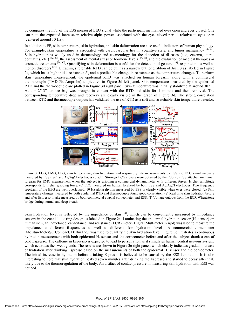3c compares the FFT of the ESS measured EEG signal while the participant maintained eyes open and eyes closed. One can note the expected increase in relative alpha power associated with the eyes closed period relative to eyes open (centered around 10 Hz).

In addition to EP, skin temperature, skin hydration, and skin deformation are also useful indicators of human physiology. For example, skin temperature is associated with cardiovascular health, cognitive state, and tumor malignancy  $[29]$ . Skin hydration is widely used in dermatology and cosmetology for the detection of diseases (e.g., eczema, atopic dermatitis, etc.)  $^{[32, 33]}$ , the assessment of mental stress or hormone levels  $^{[34, 35]}$ , and the evaluation of medical therapies or cosmetic treatments  $^{[36, 37]}$ . Quantifying skin deformation is useful for the detection of gesture  $^{[38]}$ , respiration, as well as motion disorders <sup>[16]</sup>. Ultrathin, stretchable RTD can be built as a narrow but long ribbon of Au FS as labeled in Figure 2a, which has a high initial resistance  $R_0$  and a predictable change in resistance as the temperature changes. To perform skin temperature measurement, the epidermal RTD was attached on human forearm, along with a commercial thermocouple (TMD-56, Amprobe) as pictured in Figure 3d left panel. Skin temperature measured by the epidermal RTD and the thermocouple are plotted in Figure 3d right panel. Skin temperature was initially stabilized at around 30 °C. At *t* = 2'13", an ice bag was brought in contact with the RTD and skin for 1 minute and then removed. The corresponding temperature drop and recovery are clearly visible in the graph of Figure 3d. The strong correlation between RTD and thermocouple outputs has validated the use of RTD as a soft and stretchable skin temperature detector.



Figure 3. ECG, EMG, EEG, skin temperature, skin hydration, and respiratory rate measurements by ESS. (a) ECG simultaneously measured by ESS (red) and Ag/AgCl electrodes (black). Stronger ECG signals were obtained by the ESS. (b) ESS attached on human forearm for EMG measurement when the subject is gripping a commercial dynamometer with different forces. Higher amplitude corresponds to higher gripping force. (c) EEG measured on human forehead by both ESS and Ag/AgCl electrodes. Two frequency spectrum of the EEG are well overlapped. 10 Hz alpha rhythm measured by ESS is clearly visible when eyes were closed. (d) Skin temperature changes measured by both epidermal RTD and thermocouple found good correlation. (e) Real time skin hydration before and after Espresso intake measured by both commercial coaxial corneometer and ESS. (f) Voltage outputs from the ECR Wheatstone bridge during normal and deep breath.

Skin hydration level is reflected by the impedance of skin [11], which can be conveniently measured by impedance sensors in the coaxial dot-ring design as labeled in Figure 2a. Laminating the epidermal hydration sensor (H. sensor) on human skin, an inductance, capacitance, and resistance (LCR) meter (Digital Multimeter, Rigol) was used to measure the impedance at different frequencies as well as different skin hydration levels. A commercial corneometer (MoistureMeterSC Compact, Delfin Inc.) was used to quantify the skin hydration level. Figure 3e illustrates a continuous hydration measurement with both epidermal H. sensor and the corneometer before and after the subject drank a can of cold Espresso. The caffeine in Espresso is expected to lead to perspiration as it stimulates human central nervous system, which activates the sweat glands. The results are shown in Figure 3e right panel, which clearly indicates gradual increase of hydration after drinking Espresso based on the measurements of both the epidermal H. sensor and the corneometer. The initial increase in hydration before drinking Espresso is believed to be caused by the ESS lamination. It is also interesting to note that skin hydration peaked seven minutes after drinking the Espresso and started to decay after that, likely due to the thermoregulation of the body. An artifact of contact pressure in measuring skin hydration with ESS was noticed.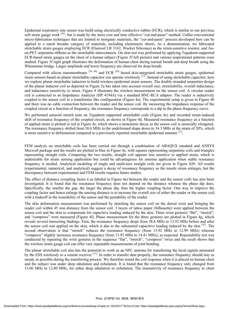Epidermal respiratory rate sensor was build using electrically conductive rubber (ECR), which is similar to our previous soft strain gauge work <sup>[39]</sup>, but is made by the more cost and time effective "cut-and-paste" method. Unlike conventional micro-fabrication techniques that are limited to inorganic materials, the "cut-and-paste" process developed here can be applied to a much broader category of materials, including elastomeric sheets. As a demonstration, we fabricated stretchable strain gauges employing ECR (Elastosil LR 3162, Wacker Silicones) as the strain-sensitive resistor, and Auon-PET serpentine ribbons as the stretchable interconnects. On skin test was performed by applying Tegaderm-supported ECR-based strain gauges on the chest of a human subject (Figure 3f left picture) and various respirational patterns were studied. Figure 3f right graph illustrates the deformation of human chest during normal breath and deep breath using the Wheatstone bridge. Larger amplitude and lower frequency are observed for deep breath.

Compared with silicon nanomembrane  $^{[38, 40]}$  and ECR  $^{[39]}$  based skin-integrated stretchable strain gauges, epidermal strain sensors based on planar stretchable capacitor can operate wirelessly [13]. Instead of using stretchable capacitor, here we explore planar stretchable inductors to build wireless epidermal strain sensors. The double stranded serpentine design of the planar inductor coil as depicted in Figure 2a has taken into account overall size, stretchability, overall inductance, and inductance sensitivity to strain. Figure 4 illustrates the wireless measurement on the sensor coil. A circular reader coil is connected to an Impedance Analyzer (HP 4194A) via a standard BNC-RCA adaptor. The reader is inductively coupled to the sensor coil in a transformer like configuration (Figure 4a). The experimental setup is given in Figure 4b and there was no cable connection between the reader and the sensor coil. By measuring the impedance response of the coupled circuit as a function of frequency, the resonance frequency corresponds to a dip in the phase-frequency curve.

We performed uniaxial stretch tests on Tegaderm supported stretchable coils (Figure 4c) and recorded strain-induced shift of resonance frequency of the coupled circuit, as shown in Figure 4d. Measured resonance frequency as a function of applied strain is plotted in red in Figure 4e, which shows a monotonic decay as the sensor coil is uniaxially elongated. The resonance frequency shifted from 38.6 MHz in the undeformed shape down to 34.3 MHz at the strain of 20%, which is more sensitive to deformation compared to a previously reported stretchable epidermal antenna  $[17]$ .

FEM analysis on stretchable coils has been carried out through a combination of ABAQUS standard and ANSYS Maxwell package and the results are plotted in blue in Figure 4e, with squares representing serpentine coils and triangles representing straight coils. Comparing the two results, straight coil appears less sensitive to applied strain, which is undesirable for strain sensing application but could be advantageous for antenna application when stable resonance frequency is needed. Analytical modeling of single and multi-turn straight coils are given in Figure S20. All results (experimental, numerical, and analytical) suggest a decay of resonance frequency as the tensile strain enlarges, but the discrepancy between experimental and FEM results requires future studies.

The effect of distance (coupling factor *k* as labeled in Figure 4a) between the reader and the sensor coils has also been investigated. It is found that the resonance frequency does not depend on the distance whereas the phase dip does. Specifically, the smaller the gap, the larger the phase dip, thus the higher coupling factor. One way to improve the coupling factor and hence enlarge the sensing distance is to increase the overall size of either the reader or the sensor coil, with a tradeoff in the wearability of the sensor and the portability of the reader.

The skin deformation measurement was performed by attaching the sensor coil on the dorsal wrist and bringing the reader coil within 45 mm distance from the sensor coil. 3 layers of tattoo paper (Silhouette) were applied between the sensor coil and the skin to compensate for capacitive loading induced by the skin. Three wrist gestures "flat", "stretch", and "compress" were measured (Figure 4f). Phase measurement for the three gestures are plotted in Figure 4g, which reveals several interesting findings. First, the resonance frequency drops from 38.6 MHz to 13.92 MHz before and after the sensor coil was applied on the skin, which is due to the substantial capacitive loading induced by the skin  $[41]$ . The second observation is that "stretch" reduces the resonance frequency (from 13.92 MHz to 12.99 MHz) whereas "compress" slightly increases resonance frequency (from 13.92 MHz to 14.41 MHz), as expected. Repeatability test was conducted by repeating the wrist gestures in the sequence "flat", "stretch", "compress" twice and the result shows that the wireless strain gauge coil can offer very repeatable measurements of joint bending.

The planar stretchable coil also has the potential to work as an NFC antenna for transferring the local signals measured by the ESS wirelessly to a remote receiver  $\left[17\right]$ . In order to transfer data properly, the resonance frequency should stay as steady as possible during the transferring process. We therefore tested the coil response when it is placed on human chest and the subject was under deep inhalation and exhalation. It is found that the resonance frequency only changed from 13.06 MHz to 12.80 MHz, for either deep inhalation or exhalation. The insensitivity of resonance frequency to chest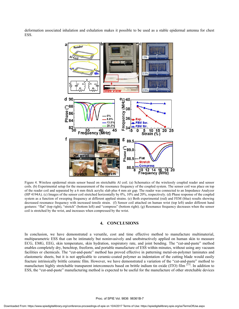deformation associated inhalation and exhalation makes it possible to be used as a stable epidermal antenna for chest ESS.



Figure 4. Wireless epidermal strain sensor based on stretchable Al coil. (a) Schematics of the wirelessly coupled reader and sensor coils. (b) Experimental setup for the measurement of the resonance frequency of the coupled system. The sensor coil was place on top of the reader coil and separated by a 6 mm thick acrylic slab plus 4 mm air gap. The reader was connected to an Impedance Analyzer (HP 4194A). (c) Images of the sensor coil stretched horizontally by 0%, 10% and 20%, respectively. (d) Phase response of the coupled system as a function of sweeping frequency at different applied strains. (e) Both experimental (red) and FEM (blue) results showing decreased resonance frequency with increased tensile strain. (f) Sensor coil attached on human wrist (top left) under different hand gestures: "flat" (top right), "stretch" (bottom left) and "compress" (bottom right). (g) Resonance frequency decreases when the sensor coil is stretched by the wrist, and increases when compressed by the wrist.

#### **4. CONCLUSIONS**

In conclusion, we have demonstrated a versatile, cost and time effective method to manufacture multimaterial, multiparametric ESS that can be intimately but noninvasively and unobstructively applied on human skin to measure ECG, EMG, EEG, skin temperature, skin hydration, respiratory rate, and joint bending. The "cut-and-paste" method enables completely dry, benchtop, freeform, and portable manufacture of ESS within minutes, without using any vacuum facilities or chemicals. The "cut-and-paste" method has proved effective in patterning metal-on-polymer laminates and elastomeric sheets, but it is not applicable to ceramic-coated polymer as indentation of the cutting blade would easily fracture intrinsically brittle ceramic film. However, we have demonstrated a variation of the "cut-and-paste" method to manufacture highly stretchable transparent interconnects based on brittle indium tin oxide (ITO) film  $[23]$ . In addition to ESS, the "cut-and-paste" manufacturing method is expected to be useful for the manufacture of other stretchable devices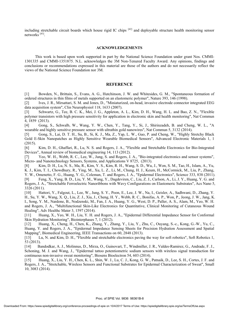including stretchable circuit boards which house rigid IC chips [42] and deployable structure health monitoring sensor networks [43].

#### **ACKNOWLEDGEMENTS**

This work is based upon work supported in part by the National Science Foundation under grant Nos. CMMI-1301335 and CMMI-1351875. N.L. acknowledges the 3M Non-Tenured Faculty Award. Any opinions, findings and conclusions or recommendations expressed in this material are those of the authors and do not necessarily reflect the views of the National Science Foundation nor 3M.

#### **REFERENCE**

[1] Bowden, N., Brittain, S., Evans, A. G., Hutchinson, J. W. and Whitesides, G. M., "Spontaneous formation of ordered structures in thin films of metals supported on an elastomeric polymer", Nature 393, 146 (1998).

[2] Ives, J. R., Mirsattari, S. M. and Jones, D., "Miniaturized, on-head, invasive electrode connector integrated EEG data acquisition system", Clin Neurophysiol 118, 1633 (2007).

[3] Schwartz, G., Tee, B. C. K., Mei, J. G., Appleton, A. L., Kim, D. H., Wang, H. L. and Bao, Z. N., "Flexible polymer transistors with high pressure sensitivity for application in electronic skin and health monitoring", Nat Commun 4, 1859 (2013).

[4] Gong, S., Schwalb, W., Wang, Y. W., Chen, Y., Tang, Y., Si, J., Shirinzadeh, B. and Cheng, W. L., "A wearable and highly sensitive pressure sensor with ultrathin gold nanowires", Nat Commun 5, 3132 (2014).

[5] Gong, S., Lai, D. T. H., Su, B., Si, K. J., Ma, Z., Yap, L. W., Guo, P. and Cheng, W., "Highly Stretchy Black Gold E-Skin Nanopatches as Highly Sensitive Wearable Biomedical Sensors", Advanced Electronic Materials 1, 1 (2015).

[6] Kim, D. H., Ghaffari, R., Lu, N. S. and Rogers, J. A., "Flexible and Stretchable Electronics for Bio-Integrated Devices", Annual review of biomedical engineering 14, 113 (2012).

[7] Yeo, W. H., Webb, R. C., Lee, W., Jung, S. and Rogers, J. A., "Bio-integrated electronics and sensor systems", Micro- and Nanotechnology Sensors, Systems, and Applications V 8725, (2013).

[8] Kim, D. H., Lu, N. S., Ma, R., Kim, Y. S., Kim, R. H., Wang, S. D., Wu, J., Won, S. M., Tao, H., Islam, A., Yu, K. J., Kim, T. I., Chowdhury, R., Ying, M., Xu, L. Z., Li, M., Chung, H. J., Keum, H., McCormick, M., Liu, P., Zhang, Y. W., Omenetto, F. G., Huang, Y. G., Coleman, T. and Rogers, J. A., "Epidermal Electronics", Science 333, 838 (2011). [9] Feng, X., Yang, B. D., Liu, Y. M., Wang, Y., Dagdeviren, C., Liu, Z. J., Carlson, A., Li, J. Y., Huang, Y. G. and Rogers, J. A., "Stretchable Ferroelectric Nanoribbons with Wavy Configurations on Elastomeric Substrates", Acs Nano 5, 3326 (2011).

[10] Hattori, Y., Falgout, L., Lee, W., Jung, S. Y., Poon, E., Lee, J. W., Na, I., Geisler, A., Sadhwani, D., Zhang, Y. H., Su, Y. W., Wang, X. Q., Liu, Z. J., Xia, J., Cheng, H. Y., Webb, R. C., Bonifas, A. P., Won, P., Jeong, J. W., Jang, K. I., Song, Y. M., Nardone, B., Nodzenski, M., Fan, J. A., Huang, Y. G., West, D. P., Paller, A. S., Alam, M., Yeo, W. H. and Rogers, J. A., "Multifunctional Skin-Like Electronics for Quantitative, Clinical Monitoring of Cutaneous Wound Healing", Adv Healthc Mater 3, 1597 (2014).

[11] Huang, X., Yeo, W. H., Liu, Y. H. and Rogers, J. A., "Epidermal Differential Impedance Sensor for Conformal Skin Hydration Monitoring", Biointerphases 7, 1 (2012).

[12] Huang, X., Cheng, H., Chen, K., Zhang, Y., Zhang, Y., Liu, Y., Zhu, C., Ouyang, S.-c., Kong, G.-W., Yu, C., Huang, Y. and Rogers, J. A., "Epidermal Impedance Sensing Sheets for Precision Hydration Assessment and Spatial Mapping", Biomedical Engineering, IEEE Transactions on 60, 2848 (2013).

[13] Lu, N. and Kim, D. H., "Flexible and stretchable electronics paving the way for soft robotics", Soft Robotics 1, 53 (2013).

[14] Bandodkar, A. J., Molinnus, D., Mirza, O., Guinovart, T., Windmiller, J. R., Valdes-Ramirez, G., Andrade, F. J., Schoning, M. J. and Wang, J., "Epidermal tattoo potentiometric sodium sensors with wireless signal transduction for continuous non-invasive sweat monitoring", Biosens Bioelectron 54, 603 (2014).

[15] Huang, X., Liu, Y. H., Chen, K. L., Shin, W. J., Lu, C. J., Kong, G. W., Patnaik, D., Lee, S. H., Cortes, J. F. and Rogers, J. A., "Stretchable, Wireless Sensors and Functional Substrates for Epidermal Characterization of Sweat", Small 10, 3083 (2014).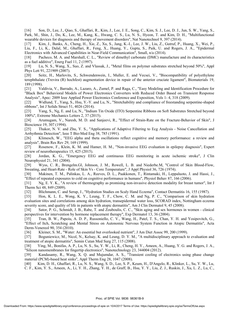[16] Son, D., Lee, J., Qiao, S., Ghaffari, R., Kim, J., Lee, J. E., Song, C., Kim, S. J., Lee, D. J., Jun, S. W., Yang, S., Park, M., Shin, J., Do, K., Lee, M., Kang, K., Hwang, C. S., Lu, N. S., Hyeon, T. and Kim, D. H., "Multifunctional wearable devices for diagnosis and therapy of movement disorders", Nat Nanotechnol 9, 397 (2014).

[17] Kim, J., Banks, A., Cheng, H., Xie, Z., Xu, S., Jang, K.-I., Lee, J. W., Liu, Z., Gutruf, P., Huang, X., Wei, P., Liu, F., Li, K., Dalal, M., Ghaffari, R., Feng, X., Huang, Y., Gupta, S., Paik, U. and Rogers, J. A., "Epidermal Electronics with Advanced Capabilities in Near-Field Communication", Small, n/a (2014).

[18] Pacheco, M. A. and Marshall, C. L., "Review of dimethyl carbonate (DMC) manufacture and its characteristics as a fuel additive", Energ Fuel 11, 2 (1997).

[19] Lu, N. S., Wang, X., Suo, Z. and Vlassak, J., "Metal films on polymer substrates stretched beyond 50%", Appl Phys Lett 91, 221909 (2007).

[20] Seitz, H., Marlovits, S., Schwendenwein, I., Muller, E. and Vecsei, V., "Biocompatibility of polyethylene terephthalate (Trevira (R) hochfest) augmentation device in repair of the anterior cruciate ligament", Biomaterials 19, 189 (1998).

[21] Valdivia, V., Barrado, A., Lazaro, A., Zumel, P. and Raga, C., "Easy Modeling and Identification Procedure for "Black Box" Behavioral Models of Power Electronics Converters with Reduced Order Based on Transient Response Analysis", Apec: 2009 Ieee Applied Power Electronics Conference and Exposition, Vols 1- 4, 318 (2009).

[22] Widlund, T., Yang, S., Hsu, Y.-Y. and Lu, N., "Stretchability and compliance of freestanding serpentine-shaped ribbons", Int J Solids Struct 51, 4026 (2014).

[23] Yang, S., Ng, E. and Lu, N., "Indium Tin Oxide (ITO) Serpentine Ribbons on Soft Substrates Stretched beyond 100%", Extreme Mechanics Letters 2, 37 (2015).

[24] Arumugam, V., Naresh, M. D. and Sanjeevi, R., "Effect of Strain-Rate on the Fracture-Behavior of Skin", J Bioscience 19, 307 (1994).

[25] Thakor, N. V. and Zhu, Y. S., "Applications of Adaptive Filtering to Ecg Analysis - Noise Cancellation and Arrhythmia Detection", Ieee T Bio-Med Eng 38, 785 (1991).

[26] Klimesch, W., "EEG alpha and theta oscillations reflect cognitive and memory performance: a review and analysis", Brain Res Rev 29, 169 (1999).

[27] Rosenow, F., Klein, K. M. and Hamer, H. M., "Non-invasive EEG evaluation in epilepsy diagnosis", Expert review of neurotherapeutics 15, 425 (2015).

[28] Jordan, K. G., "Emergency EEG and continuous EEG monitoring in acute ischemic stroke", J Clin Neurophysiol 21, 341 (2004).

[29] Wyss, C. R., Brengelm.Gl, Johnson, J. M., Rowell, L. B. and Niederbe.M, "Control of Skin Blood-Flow, Sweating, and Heart-Rate - Role of Skin Vs - Core Temperature", J Appl Physiol 36, 726 (1974).

[30] Makinen, T. M., Palinkas, L. A., Reeves, D. L., Paakkonen, T., Rintamaki, H., Leppaluoto, J. and Hassi, J., "Effect of repeated exposures to cold on cognitive performance in humans", Physiol Behav 87, 166 (2006).

[31] Ng, E. Y. K., "A review of thermography as promising non-invasive detection modality for breast tumor", Int J Therm Sci 48, 849 (2009).

[32] Blichmann, C. and Serup, J., "Hydration Studies on Scaly Hand Eczema", Contact Dermatitis 16, 155 (1987).

[33] Hon, K. L. E., Wong, K. Y., Leung, T. F., Chow, C. M. and Ng, P. C., "Comparison of skin hydration evaluation sites and correlations among skin hydration, transepidermal water loss, SCORAD index, Nottingham eczema severity score, and quality of life in patients with atopic dermatitis", Am J Clin Dermatol 9, 45 (2008).

[34] Sator, P. G., Schmidt, J. B., Rabe, T. and Zouboulis, C. C., "Skin aging and sex hormones in women - clinical perspectives for intervention by hormone replacement therapy", Exp Dermatol 13, 36 (2004).

[35] Tran, B. W., Papoiu, A. D. P., Russoniello, C. V., Wang, H., Patel, T. S., Chan, Y. H. and Yosipovitch, G., "Effect of Itch, Scratching and Mental Stress on Autonomic Nervous System Function in Atopic Dermatitis", Acta Derm-Venereol 90, 354 (2010).

[36] Kleiner, S. M., "Water: An essential but overlooked nutrient", J Am Diet Assoc 99, 200 (1999).

[37] Boguniewicz, M., Nicol, N., Kelsay, K. and Leung, D. Y. M., "A multidisciplinary approach to evaluation and treatment of atopic dermatitis", Semin Cutan Med Surg 27, 115 (2008).

[38] Ying, M., Bonifas, A. P., Lu, N. S., Su, Y. W., Li, R., Cheng, H. Y., Ameen, A., Huang, Y. G. and Rogers, J. A., "Silicon nanomembranes for fingertip electronics", Nanotechnology 23, 344004 (2012).

[39] Kandasamy, R., Wang, X. Q. and Mujumdar, A. S., "Transient cooling of electronics using phase change material (PCM)-based heat sinks", Appl Therm Eng 28, 1047 (2008).

[40] Kim, D. H., Ghaffari, R., Lu, N. S., Wang, S. D., Lee, S. P., Keum, H., D'Angelo, R., Klinker, L., Su, Y. W., Lu, C. F., Kim, Y. S., Ameen, A., Li, Y. H., Zhang, Y. H., de Graff, B., Hsu, Y. Y., Liu, Z. J., Ruskin, J., Xu, L. Z., Lu, C.,